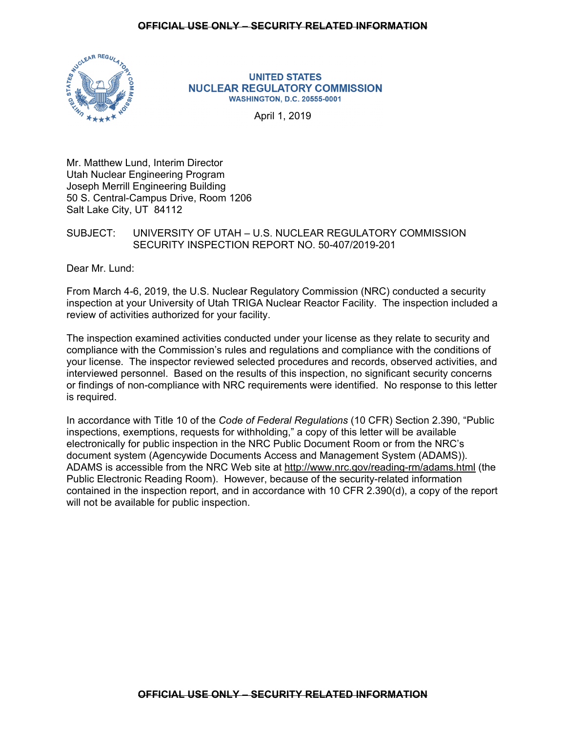## **OFFICIAL USE ONLY – SECURITY RELATED INFORMATION**



#### **UNITED STATES NUCLEAR REGULATORY COMMISSION WASHINGTON, D.C. 20555-0001**

April 1, 2019

Mr. Matthew Lund, Interim Director Utah Nuclear Engineering Program Joseph Merrill Engineering Building 50 S. Central-Campus Drive, Room 1206 Salt Lake City, UT 84112

# SUBJECT: UNIVERSITY OF UTAH – U.S. NUCLEAR REGULATORY COMMISSION SECURITY INSPECTION REPORT NO. 50-407/2019-201

Dear Mr. Lund:

From March 4-6, 2019, the U.S. Nuclear Regulatory Commission (NRC) conducted a security inspection at your University of Utah TRIGA Nuclear Reactor Facility. The inspection included a review of activities authorized for your facility.

The inspection examined activities conducted under your license as they relate to security and compliance with the Commission's rules and regulations and compliance with the conditions of your license. The inspector reviewed selected procedures and records, observed activities, and interviewed personnel. Based on the results of this inspection, no significant security concerns or findings of non-compliance with NRC requirements were identified. No response to this letter is required.

In accordance with Title 10 of the *Code of Federal Regulations* (10 CFR) Section 2.390, "Public inspections, exemptions, requests for withholding," a copy of this letter will be available electronically for public inspection in the NRC Public Document Room or from the NRC's document system (Agencywide Documents Access and Management System (ADAMS)). ADAMS is accessible from the NRC Web site at http://www.nrc.gov/reading-rm/adams.html (the Public Electronic Reading Room). However, because of the security-related information contained in the inspection report, and in accordance with 10 CFR 2.390(d), a copy of the report will not be available for public inspection.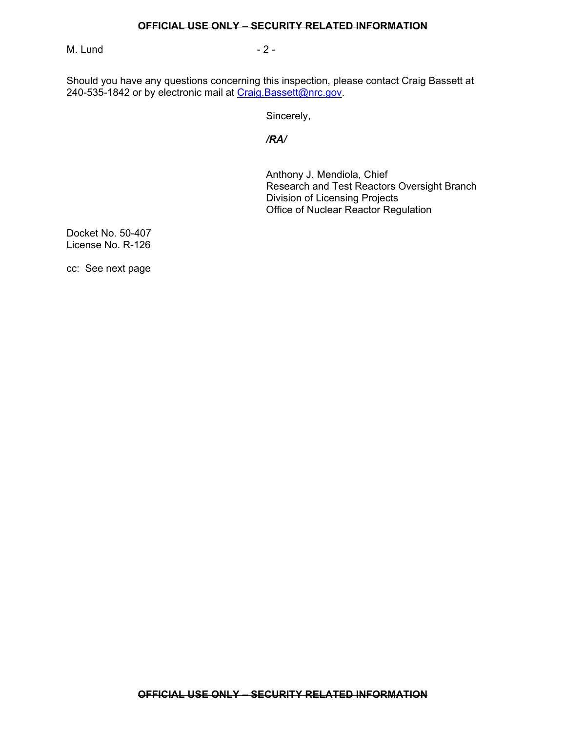## **OFFICIAL USE ONLY – SECURITY RELATED INFORMATION**

M. Lund - 2 -

Should you have any questions concerning this inspection, please contact Craig Bassett at 240-535-1842 or by electronic mail at Craig.Bassett@nrc.gov.

Sincerely,

*/RA/* 

Anthony J. Mendiola, Chief Research and Test Reactors Oversight Branch Division of Licensing Projects Office of Nuclear Reactor Regulation

Docket No. 50-407 License No. R-126

cc: See next page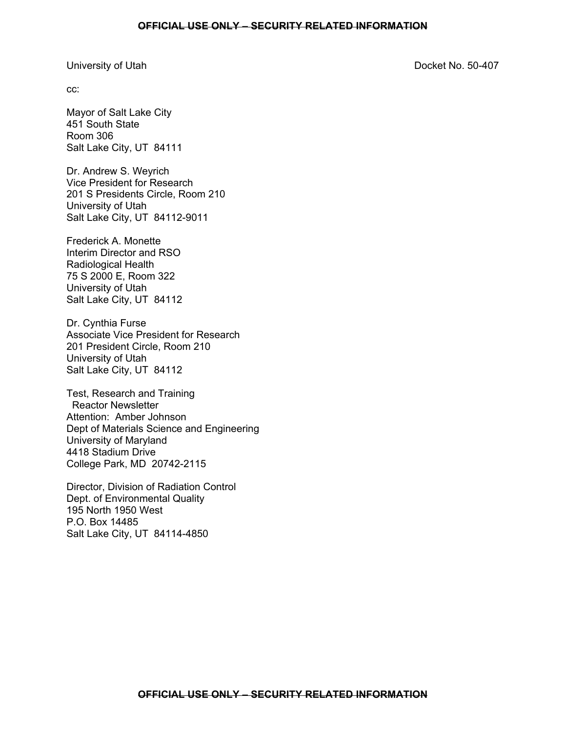#### University of Utah Docket No. 50-407

cc:

Mayor of Salt Lake City 451 South State Room 306 Salt Lake City, UT 84111

Dr. Andrew S. Weyrich Vice President for Research 201 S Presidents Circle, Room 210 University of Utah Salt Lake City, UT 84112-9011

Frederick A. Monette Interim Director and RSO Radiological Health 75 S 2000 E, Room 322 University of Utah Salt Lake City, UT 84112

Dr. Cynthia Furse Associate Vice President for Research 201 President Circle, Room 210 University of Utah Salt Lake City, UT 84112

Test, Research and Training Reactor Newsletter Attention: Amber Johnson Dept of Materials Science and Engineering University of Maryland 4418 Stadium Drive College Park, MD 20742-2115

Director, Division of Radiation Control Dept. of Environmental Quality 195 North 1950 West P.O. Box 14485 Salt Lake City, UT 84114-4850